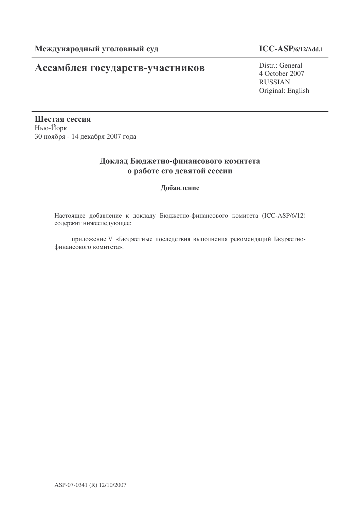### Ассамблея государств-участников

### **ICC-ASP/6/12/Add.1**

Distr.: General 4 October 2007 RUSSIAN Original: English

Шестая сессия Нью-Йорк 30 ноября - 14 декабря 2007 года

### Доклад Бюджетно-финансового комитета о работе его девятой сессии

Добавление

Настоящее добавление к докладу Бюджетно-финансового комитета (ICC-ASP/6/12) содержит нижеследующее:

приложение V «Бюджетные последствия выполнения рекомендаций Бюджетнофинансового комитета».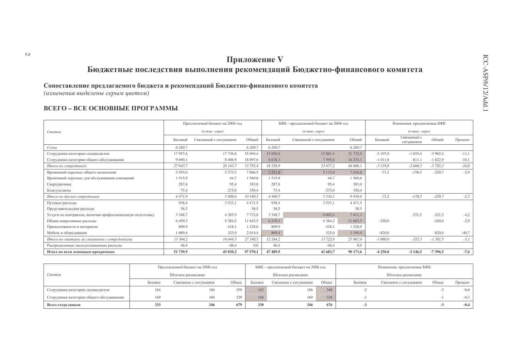### Приложение V Бюджетные последствия выполнения рекомендаций Бюджетно-финансового комитета

Сопоставление предлагаемого бюджета и рекомендаций Бюджетно-финансового комитета

(изменения выделены серым цветом)

#### ВСЕГО - ВСЕ ОСНОВНЫЕ ПРОГРАММЫ

|                                                           |             | Предлагаемый бюджет на 2008 год  |             |             | БФК - предлагаемый бюджет на 2008 год |             |            | Изменения, предлагаемые БФК       |           |         |
|-----------------------------------------------------------|-------------|----------------------------------|-------------|-------------|---------------------------------------|-------------|------------|-----------------------------------|-----------|---------|
| Статья                                                    |             | $(a \text{ molc.} \text{ espo})$ |             |             | $(a \text{ molc.} \text{ espo})$      |             |            | $(a \text{ mole. } e \text{spo})$ |           |         |
|                                                           | Базовый     | Связанный с ситуациями           | Общий       | Базовый     | Связанный с ситуациями                | Общий       | Базовый    | Связанный с<br>ситуациями         | Общий     | Процент |
| Судьи                                                     | 6 2 6 9 . 7 |                                  | 6 269.7     | 6 2 6 9, 7  |                                       | 6 2 6 9, 7  |            |                                   |           |         |
| Сотрудники категории специалистов                         | 17957.6     | 17 736,8                         | 35 694.4    | 15 850.6    | 15 881,4                              | 31 732,0    | $-2$ 107.0 | $-1855,4$                         | $-3962.4$ | $-11,1$ |
| Сотрудники категории общего обслуживания                  | 9690.1      | 8 4 0 6 9                        | 18 097,0    | 8 6 7 8 , 3 | 7595.8                                | 16 274,1    | $-1011.8$  | $-811,1$                          | $-1822.9$ | $-10,1$ |
| Итого по сотрудникам                                      | 27 647,7    | 26 143,7                         | 53 791,4    | 24 5 28, 9  | 23 477,2                              | 48 006,1    | $-3118,8$  | $-2666,5$                         | $-5785.3$ | $-10,8$ |
| Временный персонал общего назначения                      | 2 5 9 3 , 0 | 5 2 7 3 .5                       | 7866,5      | 2521,8      | 5 1 1 5 0                             | 7636,8      | $-71,2$    | $-158.5$                          | $-229.7$  | $-2,9$  |
| Временный персонал для обслуживания совещаний             | 1515,9      | 44,7                             | 1 560,6     | 1515.9      | 44,7                                  | 1560.6      |            |                                   |           |         |
| Сверхурочные                                              | 287.6       | 95.4                             | 383,0       | 287.6       | 95,4                                  | 383,0       |            |                                   |           |         |
| Консультанты                                              | 75,4        | 275.0                            | 350.4       | 75,4        | 275,0                                 | 350,4       |            |                                   |           |         |
| Итого по другим сотрудникам                               | 4471,9      | 5688.6                           | 10 160,5    | 4 4 0 0,7   | 5 5 3 0 . 1                           | 9930.8      | $-71.2$    | $-158,5$                          | $-229,7$  | $-2,3$  |
| Путевые расходы                                           | 938,4       | 3 5 3 3 , 1                      | 4 4 7 1 , 5 | 938,4       | 3 5 3 3 , 1                           | 4 4 7 1 .5  |            |                                   |           |         |
| Представительские расходы                                 | 58,5        |                                  | 58,5        | 58,5        |                                       | 58,5        |            |                                   |           |         |
| Услуги по контрактам, включая профессиональную подготовку | 3 3 4 8 , 7 | 4 3 8 3 9                        | 7732,6      | 3 3 4 8 , 7 | 4 0 6 2, 4                            | 7411,1      |            | $-321.5$                          | $-321.5$  | $-4,2$  |
| Общие оперативные расходы                                 | 6459.3      | 5 3 8 4 .2                       | 11 843,5    | 6 219,3     | 5 3 8 4 , 2                           | 11 603,5    | $-240.0$   |                                   | $-240.0$  | $-2,0$  |
| Принадлежности и материалы                                | 809.9       | 418.1                            | 1 228,0     | 809.9       | 418.1                                 | 1 2 2 8 , 0 |            |                                   |           |         |
| Мебель и оборудование                                     | 1689.4      | 325,0                            | 2 0 1 4 4   | 869,4       | 325,0                                 | 1 1 9 4 .4  | $-820,0$   |                                   | $-820.0$  | $-40,7$ |
| Итого по статьям, не связанным с сотрудниками             | 13 304.2    | 14 044,3                         | 27 348,5    | 12 244.2    | 13 722,8                              | 25 967,0    | $-1060.0$  | $-321,5$                          | $-1381,5$ | $-5,1$  |
| Распределенные эксплуатационные расходы                   | 46.4        | $-46.4$                          | 0.0         | 46,4        | $-46,4$                               | 0,0         |            |                                   |           |         |
| Итого по всем основным программам                         | 51 739.9    | 45 830,2                         | 97 570,1    | 47 489.9    | 42 683.7                              | 90 173.6    | $-4250,0$  | $-3146.5$                         | $-7396,5$ | $-7,6$  |

|                                          |         | Предлагаемый бюджет на 2008 год |       |         | БФК - предлагаемый бюджет на 2008 год |       |         | Изменения, предлагаемые БФК |       |         |
|------------------------------------------|---------|---------------------------------|-------|---------|---------------------------------------|-------|---------|-----------------------------|-------|---------|
| <i>статья</i>                            |         | Штатное расписание              |       |         | Штатное расписание                    |       |         | Штатное расписание          |       |         |
|                                          | Базовое | Связанное с ситуациями          | Обшее | Базовое | Связанное с ситуациями                | Общее | Базовое | Связанное с ситуациями      | Обшее | Процент |
| Сотрудники категории специалистов        | 164     | 186                             | 350   | 162     | 186                                   | 348   |         |                             |       | $-0,6$  |
| Сотрудники категории общего обслуживания | 169     | 160                             | 329   | 168     | 160                                   | 328   |         |                             |       | $-0,3$  |
| Всего сотрудников                        | 333     | 346                             | 679   | 330     | 346                                   | 676   |         |                             |       | $-0,4$  |

 $\overline{M}$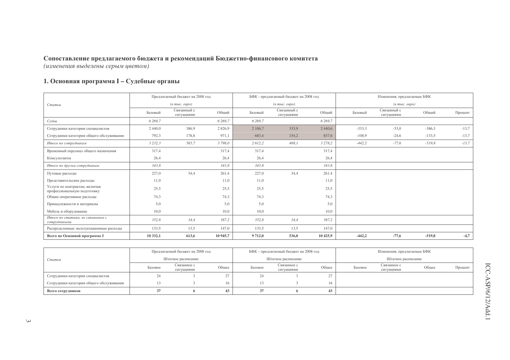### 1. Основная программа I - Судебные органы

|                                                              |             | Предлагаемый бюджет на 2008 год                    |            |            | БФК - предлагаемый бюджет на 2008 год              |             |          | Изменения, предлагаемые БФК             |          |         |
|--------------------------------------------------------------|-------------|----------------------------------------------------|------------|------------|----------------------------------------------------|-------------|----------|-----------------------------------------|----------|---------|
| Статья                                                       |             | $(\epsilon$ m <sub>bi</sub> c. $\epsilon$ egpo $)$ |            |            | $(\epsilon$ m <sub>bl</sub> $c$ , e $\epsilon$ po) |             |          | $(e$ m <sub>bl</sub> $c$ . $e$ e $po$ ) |          |         |
|                                                              | Базовый     | Связанный с<br>ситуациями                          | Общий      | Базовый    | Связанный с<br>ситуациями                          | Общий       | Базовый  | Связанный с<br>ситуациями               | Общий    | Процент |
| Судьи                                                        | 6 269,7     |                                                    | 6 2 6 9, 7 | 6 2 6 9, 7 |                                                    | 6 2 6 9 .7  |          |                                         |          |         |
| Сотрудники категории специалистов                            | 2 4 4 0 , 0 | 386,9                                              | 2826,9     | 2 106,7    | 333,9                                              | 2 4 4 0 , 6 | $-333.3$ | $-53,0$                                 | $-386,3$ | $-13,7$ |
| Сотрудники категории общего обслуживания                     | 792,3       | 178,8                                              | 971,1      | 683,4      | 154,2                                              | 837,6       | $-108.9$ | $-24,6$                                 | $-133,5$ | $-13,7$ |
| Итого по сотрудникам                                         | 3 2 3 2 , 3 | 565,7                                              | 3798,0     | 2 612,2    | 488,1                                              | 3 2 7 8, 2  | $-442,2$ | $-77,6$                                 | $-519.8$ | $-13,7$ |
| Временный персонал общего назначения                         | 317,4       |                                                    | 317.4      | 317,4      |                                                    | 317.4       |          |                                         |          |         |
| Консультанты                                                 | 26,4        |                                                    | 26,4       | 26,4       |                                                    | 26,4        |          |                                         |          |         |
| Итого по другим сотрудникам                                  | 343,8       |                                                    | 343,8      | 343,8      |                                                    | 343,8       |          |                                         |          |         |
| Путевые расходы                                              | 227,0       | 34,4                                               | 261,4      | 227,0      | 34,4                                               | 261,4       |          |                                         |          |         |
| Представительские расходы                                    | 11,0        |                                                    | 11,0       | 11,0       |                                                    | 11,0        |          |                                         |          |         |
| Услуги по контрактам, включая<br>профессиональную подготовку | 25,5        |                                                    | 25,5       | 25,5       |                                                    | 25,5        |          |                                         |          |         |
| Общие оперативные расходы                                    | 74,3        |                                                    | 74,3       | 74,3       |                                                    | 74,3        |          |                                         |          |         |
| Принадлежности и материалы                                   | 5,0         |                                                    | 5,0        | 5,0        |                                                    | 5,0         |          |                                         |          |         |
| Мебель и оборудование                                        | 10,0        |                                                    | 10,0       | 10,0       |                                                    | 10,0        |          |                                         |          |         |
| Итого по статьям, не связанным с<br>сотрудниками             | 352,8       | 34,4                                               | 387,2      | 352,8      | 34,4                                               | 387,2       |          |                                         |          |         |
| Распределенные эксплуатационные расходы                      | 133,5       | 13,5                                               | 147,0      | 133,5      | 13,5                                               | 147,0       |          |                                         |          |         |
| Всего по Основной программе I                                | 10 332,1    | 613,6                                              | 10 945.7   | 9 7 1 2,0  | 536,0                                              | 10 425.9    | $-442,2$ | $-77,6$                                 | $-519,8$ | $-4,7$  |

|                                          | Предлагаемый бюджет на 2008 год   |                     |          |    | БФК - предлагаемый бюджет на 2008 год |       | Изменения, предлагаемые БФК |                           |       |         |
|------------------------------------------|-----------------------------------|---------------------|----------|----|---------------------------------------|-------|-----------------------------|---------------------------|-------|---------|
| Статья                                   | Штатное расписание<br>Связанное с |                     |          |    | Штатное расписание                    |       |                             | Штатное расписание        |       |         |
|                                          | Базовое                           | Общее<br>ситуациями |          |    | Связанное с<br>ситуациями             | Общее | Базовое                     | Связанное с<br>ситуациями | Общее | Процент |
| Сотрудники категории специалистов        |                                   |                     | $\sim$ 1 | 24 |                                       |       |                             |                           |       |         |
| Сотрудники категории общего обслуживания |                                   |                     |          |    |                                       | 16    |                             |                           |       |         |
| Всего сотрудников                        |                                   |                     | 43       |    |                                       |       |                             |                           |       |         |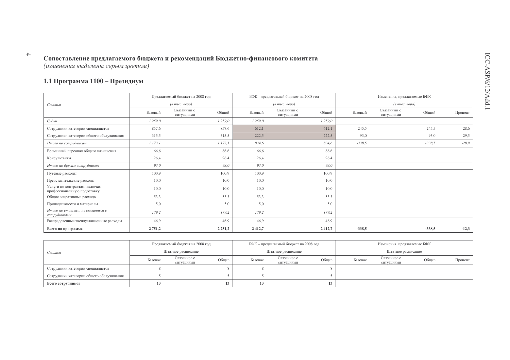### 1.1 Программа 1100 - Президиум

|                                                              |             | Предлагаемый бюджет на 2008 год   |             |           | БФК - предлагаемый бюджет на 2008 год                   |           |          | Изменения, предлагаемые БФК       |          |         |
|--------------------------------------------------------------|-------------|-----------------------------------|-------------|-----------|---------------------------------------------------------|-----------|----------|-----------------------------------|----------|---------|
| Статья                                                       |             | $(a \text{ mole.} \text{~e}$ вро) |             |           | $(a \text{ mol.} \text{ e }\text{e}\text{ }p\text{ }o)$ |           |          | $(a \text{ mole. } e \text{spo})$ |          |         |
|                                                              | Базовый     | Связанный с<br>ситуациями         | Общий       | Базовый   | Связанный с<br>ситуациями                               | Общий     | Базовый  | Связанный с<br>ситуациями         | Общий    | Процент |
| Судьи                                                        | 1259,0      |                                   | 1 259,0     | 1259,0    |                                                         | 1259,0    |          |                                   |          |         |
| Сотрудники категории специалистов                            | 857,6       |                                   | 857,6       | 612,1     |                                                         | 612,1     | $-245.5$ |                                   | $-245,5$ | $-28,6$ |
| Сотрудники категории общего обслуживания                     | 315,5       |                                   | 315,5       | 222,5     |                                                         | 222,5     | $-93,0$  |                                   | $-93,0$  | $-29,5$ |
| Итого по сотрудникам                                         | 1173,1      |                                   | 1173,1      | 834,6     |                                                         | 834,6     | $-338.5$ |                                   | $-338,5$ | $-28,9$ |
| Временный персонал общего назначения                         | 66,6        |                                   | 66.6        | 66,6      |                                                         | 66.6      |          |                                   |          |         |
| Консультанты                                                 | 26,4        |                                   | 26,4        | 26,4      |                                                         | 26,4      |          |                                   |          |         |
| Итого по другим сотрудникам                                  | 93,0        |                                   | 93,0        | 93,0      |                                                         | 93,0      |          |                                   |          |         |
| Путевые расходы                                              | 100,9       |                                   | 100,9       | 100,9     |                                                         | 100,9     |          |                                   |          |         |
| Представительские расходы                                    | 10,0        |                                   | 10,0        | 10,0      |                                                         | 10,0      |          |                                   |          |         |
| Услуги по контрактам, включая<br>профессиональную подготовку | 10,0        |                                   | 10,0        | 10,0      |                                                         | 10,0      |          |                                   |          |         |
| Общие оперативные расходы                                    | 53,3        |                                   | 53,3        | 53,3      |                                                         | 53,3      |          |                                   |          |         |
| Принадлежности и материалы                                   | 5,0         |                                   | 5,0         | 5,0       |                                                         | 5,0       |          |                                   |          |         |
| Итого по статьям, не связанным с<br>сотрудниками             | 179,2       |                                   | 179,2       | 179,2     |                                                         | 179,2     |          |                                   |          |         |
| Распределенные эксплуатационные расходы                      | 46,9        |                                   | 46,9        | 46,9      |                                                         | 46,9      |          |                                   |          |         |
| Всего по программе                                           | 2 7 5 1 , 2 |                                   | 2 7 5 1 , 2 | 2 4 1 2,7 |                                                         | 2 4 1 2,7 | $-338,5$ |                                   | $-338,5$ | $-12,3$ |

|                                          |         | Предлагаемый бюджет на 2008 год |       |         | БФК – предлагаемый бюджет на 2008 год |       | Изменения, предлагаемые БФК |                           |       |         |
|------------------------------------------|---------|---------------------------------|-------|---------|---------------------------------------|-------|-----------------------------|---------------------------|-------|---------|
| Статья                                   |         | Штатное расписание              |       |         | Штатное расписание                    |       |                             | Штатное расписание        |       |         |
|                                          | Базовое | Связанное с<br>ситуациями       | Общее | Базовое | Связанное с<br>ситуациями             | Общее | Базовое                     | Связанное с<br>ситуациями | Общее | Процент |
| Сотрудники категории специалистов        |         |                                 |       |         |                                       |       |                             |                           |       |         |
| Сотрудники категории общего обслуживания |         |                                 |       |         |                                       |       |                             |                           |       |         |
| Всего сотрудников                        |         |                                 | 13    |         |                                       |       |                             |                           |       |         |

 $\overline{\phantom{a}}$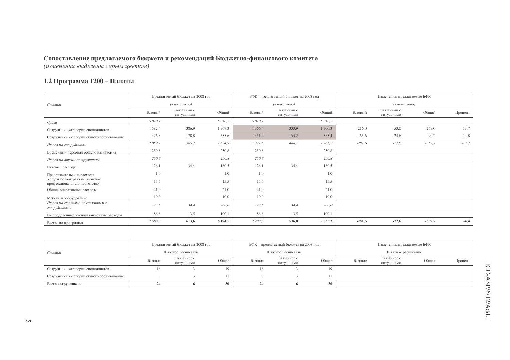#### 1.2 Программа 1200 – Палаты

|                                                              |             | Предлагаемый бюджет на 2008 год  |             |            | БФК - предлагаемый бюджет на 2008 год              |             |          | Изменения, предлагаемые БФК  |          |         |
|--------------------------------------------------------------|-------------|----------------------------------|-------------|------------|----------------------------------------------------|-------------|----------|------------------------------|----------|---------|
| Статья                                                       |             | $(a \text{ molc.} \text{ espo})$ |             |            | $(\epsilon$ m <sub>bl</sub> c. $\epsilon$ egpo $)$ |             |          | $(a \text{ mole.} \text{~e}$ |          |         |
|                                                              | Базовый     | Связанный с<br>ситуациями        | Общий       | Базовый    | Связанный с<br>ситуациями                          | Общий       | Базовый  | Связанный с<br>ситуациями    | Общий    | Процент |
| Судьи                                                        | 5 010,7     |                                  | 5 010,7     | 5 010,7    |                                                    | 5 010,7     |          |                              |          |         |
| Сотрудники категории специалистов                            | 1582,4      | 386,9                            | 1969,3      | 1 3 6 6, 4 | 333,9                                              | 1700,3      | $-216,0$ | $-53,0$                      | $-269,0$ | $-13,7$ |
| Сотрудники категории общего обслуживания                     | 476,8       | 178,8                            | 655,6       | 411,2      | 154,2                                              | 565,4       | $-65,6$  | $-24,6$                      | $-90,2$  | $-13,8$ |
| Итого по сотрудникам                                         | 2 0 5 9 , 2 | 565,7                            | 2624,9      | 1777,6     | 488,1                                              | 2 2 6 5 , 7 | $-281,6$ | $-77,6$                      | $-359,2$ | $-13,7$ |
| Временный персонал общего назначения                         | 250,8       |                                  | 250,8       | 250,8      |                                                    | 250,8       |          |                              |          |         |
| Итого по другим сотрудникам                                  | 250,8       |                                  | 250,8       | 250,8      |                                                    | 250,8       |          |                              |          |         |
| Путевые расходы                                              | 126,1       | 34,4                             | 160,5       | 126,1      | 34,4                                               | 160,5       |          |                              |          |         |
| Представительские расходы                                    | 1,0         |                                  | 1,0         | 1,0        |                                                    | 1,0         |          |                              |          |         |
| Услуги по контрактам, включая<br>профессиональную подготовку | 15,5        |                                  | 15,5        | 15,5       |                                                    | 15,5        |          |                              |          |         |
| Общие оперативные расходы                                    | 21,0        |                                  | 21,0        | 21,0       |                                                    | 21,0        |          |                              |          |         |
| Мебель и оборудование                                        | 10,0        |                                  | 10,0        | 10,0       |                                                    | 10,0        |          |                              |          |         |
| Итого по статьям, не связанным с<br>сотрудниками             | 173,6       | 34,4                             | 208,0       | 173,6      | 34,4                                               | 208,0       |          |                              |          |         |
| Распределенные эксплуатационные расходы                      | 86,6        | 13,5                             | 100,1       | 86,6       | 13,5                                               | 100,1       |          |                              |          |         |
| Всего по программе                                           | 7580,9      | 613,6                            | 8 1 9 4 , 5 | 7 299,3    | 536,0                                              | 7835,3      | $-281,6$ | $-77,6$                      | $-359,2$ | $-4,4$  |

|                                          | Предлагаемый бюджет на 2008 год |                           |       |         | БФК - предлагаемый бюджет на 2008 год |       |         | Изменения, предлагаемые БФК |       |         |
|------------------------------------------|---------------------------------|---------------------------|-------|---------|---------------------------------------|-------|---------|-----------------------------|-------|---------|
| Статья                                   | Штатное расписание              |                           |       |         | Штатное расписание                    |       |         | Штатное расписание          |       |         |
|                                          | Базовое                         | Связанное с<br>ситуациями | Общее | Базовое | Связанное с<br>ситуациями             | Общее | Базовое | Связанное с<br>ситуациями   | Общее | Процент |
| Сотрудники категории специалистов        | 16                              |                           | 19    | 16      |                                       | 19    |         |                             |       |         |
| Сотрудники категории общего обслуживания |                                 |                           |       |         |                                       |       |         |                             |       |         |
| Всего сотрудников                        |                                 |                           | 30    |         |                                       | 30    |         |                             |       |         |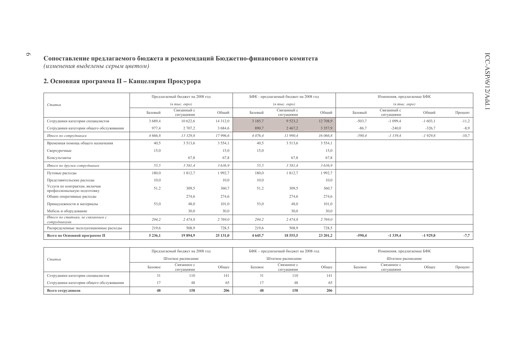$\circ$ 

### 2. Основная программа II - Канцелярия Прокурора

|                                                              |             | Предлагаемый бюджет на 2008 год   |             |             | БФК - предлагаемый бюджет на 2008 год |            |          | Изменения, предлагаемые БФК       |           |         |
|--------------------------------------------------------------|-------------|-----------------------------------|-------------|-------------|---------------------------------------|------------|----------|-----------------------------------|-----------|---------|
| Статья                                                       |             | $(a \text{ mole.} \text{~e}$ вро) |             |             | $(e \text{ molc.} \text{ eepo})$      |            |          | $(a \text{ mole. } e \text{spo})$ |           |         |
|                                                              | Базовый     | Связанный с<br>ситуациями         | Общий       | Базовый     | Связанный с<br>ситуациями             | Общий      | Базовый  | Связанный с<br>ситуациями         | Общий     | Процент |
| Сотрудники категории специалистов                            | 3 689,4     | 10 622,6                          | 14 3 12,0   | 3 185,7     | 9 5 23, 2                             | 12 708,9   | $-503,7$ | $-1099,4$                         | $-1603,1$ | $-11,2$ |
| Сотрудники категории общего обслуживания                     | 977,4       | 2 707,2                           | 3 6 8 4 . 6 | 890,7       | 2 4 6 7, 2                            | 3 3 5 7, 9 | $-86,7$  | $-240,0$                          | $-326,7$  | $-8,9$  |
| Итого по сотрудникам                                         | 4 666,8     | 13 329,8                          | 17 996,6    | 4 0 76,4    | 11 990,4                              | 16 066.8   | $-590,4$ | $-1339,4$                         | $-1929.8$ | $-10,7$ |
| Временная помощь общего назначения                           | 40,5        | 3 5 1 3 , 6                       | 3 5 5 4 1   | 40,5        | 3 5 1 3 , 6                           | 3 5 5 4 1  |          |                                   |           |         |
| Сверхурочные                                                 | 15,0        |                                   | 15,0        | 15,0        |                                       | 15,0       |          |                                   |           |         |
| Консультанты                                                 |             | 67,8                              | 67,8        |             | 67,8                                  | 67,8       |          |                                   |           |         |
| Итого по другим сотрудникам                                  | 55,5        | 3 581,4                           | 3 6 3 6, 9  | 55,5        | 3 581,4                               | 3 6 3 6, 9 |          |                                   |           |         |
| Путевые расходы                                              | 180,0       | 1812,7                            | 1992.7      | 180,0       | 1812,7                                | 1992.7     |          |                                   |           |         |
| Представительские расходы                                    | 10,0        |                                   | 10,0        | 10,0        |                                       | 10,0       |          |                                   |           |         |
| Услуги по контрактам, включая<br>профессиональную подготовку | 51,2        | 309,5                             | 360,7       | 51,2        | 309,5                                 | 360,7      |          |                                   |           |         |
| Общие оперативные расходы                                    |             | 274,6                             | 274,6       |             | 274,6                                 | 274,6      |          |                                   |           |         |
| Принадлежности и материалы                                   | 53,0        | 48,0                              | 101,0       | 53,0        | 48,0                                  | 101,0      |          |                                   |           |         |
| Мебель и оборудование                                        |             | 30,0                              | 30,0        |             | 30,0                                  | 30,0       |          |                                   |           |         |
| Итого по статьям, не связанным с<br>сотрудниками             | 294,2       | 2 474,8                           | 2 769,0     | 294,2       | 2 474,8                               | 2 769,0    |          |                                   |           |         |
| Распределенные эксплуатационные расходы                      | 219,6       | 508,9                             | 728,5       | 219,6       | 508,9                                 | 728,5      |          |                                   |           |         |
| Всего по Основной программе II                               | 5 2 3 6 , 1 | 19 894,9                          | 25 131,0    | 4 6 4 5 , 7 | 18 555,5                              | 23 201,2   | $-590,4$ | $-1339,4$                         | $-1929,8$ | $-7,7$  |

|                                          | Предлагаемый бюджет на 2008 год |                           |       |         | БФК – предлагаемый бюджет на 2008 год |              |         | Изменения, предлагаемые БФК |       |         |
|------------------------------------------|---------------------------------|---------------------------|-------|---------|---------------------------------------|--------------|---------|-----------------------------|-------|---------|
| Статья                                   |                                 | Штатное расписание        |       |         | Штатное расписание                    |              |         | Штатное расписание          |       |         |
|                                          | Базовое                         | Связанное с<br>ситуациями | Общее | Базовое | Связанное с<br>ситуациями             | Общее        | Базовое | Связанное с<br>ситуациями   | Общее | Процент |
| Сотрудники категории специалистов        |                                 | 110                       | 141   |         | 110                                   | 1.41<br>14 I |         |                             |       |         |
| Сотрудники категории общего обслуживания |                                 | 48                        | 65.   |         | 48                                    | 65           |         |                             |       |         |
| Всего сотрудников                        | 48                              | 158                       | 206   | 48      | 158                                   | 206          |         |                             |       |         |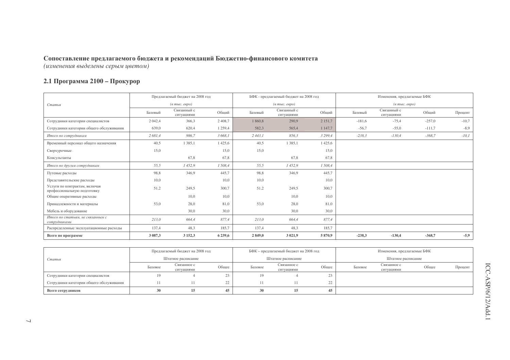### 2.1 Программа 2100 - Прокурор

|                                                              |         | Предлагаемый бюджет на 2008 год                    |             |         | БФК - предлагаемый бюджет на 2008 год              |             |          | Изменения, предлагаемые БФК                        |          |         |
|--------------------------------------------------------------|---------|----------------------------------------------------|-------------|---------|----------------------------------------------------|-------------|----------|----------------------------------------------------|----------|---------|
| Статья                                                       |         | $(\epsilon$ m <sub>bi</sub> c. $\epsilon$ egpo $)$ |             |         | $(\epsilon$ m <sub>bl</sub> $c$ , e $\epsilon$ po) |             |          | $(\epsilon$ m <sub>bl</sub> c. $\epsilon$ egpo $)$ |          |         |
|                                                              | Базовый | Связанный с<br>ситуациями                          | Общий       | Базовый | Связанный с<br>ситуациями                          | Общий       | Базовый  | Связанный с<br>ситуациями                          | Общий    | Процент |
| Сотрудники категории специалистов                            | 2 042,4 | 366,3                                              | 2 4 0 8 .7  | 1860,8  | 290,9                                              | 2 1 5 1 , 7 | $-181,6$ | $-75,4$                                            | $-257,0$ | $-10,7$ |
| Сотрудники категории общего обслуживания                     | 639,0   | 620,4                                              | 1 259,4     | 582,3   | 565,4                                              | 1 147,7     | $-56,7$  | $-55,0$                                            | $-111,7$ | $-8,9$  |
| Итого по сотрудникам                                         | 2 681,4 | 986,7                                              | 3 668.1     | 2443,1  | 856,3                                              | 3 2 9 9, 4  | $-238,3$ | $-130,4$                                           | $-368,7$ | $-10,1$ |
| Временный персонал общего назначения                         | 40,5    | 1 3 8 5 , 1                                        | 1425,6      | 40,5    | 1 3 8 5 , 1                                        | 1 4 25, 6   |          |                                                    |          |         |
| Сверхурочные                                                 | 15,0    |                                                    | 15,0        | 15,0    |                                                    | 15,0        |          |                                                    |          |         |
| Консультанты                                                 |         | 67,8                                               | 67,8        |         | 67,8                                               | 67,8        |          |                                                    |          |         |
| Итого по другим сотрудникам                                  | 55,5    | 1452,9                                             | 1508,4      | 55,5    | 1452,9                                             | 1 508.4     |          |                                                    |          |         |
| Путевые расходы                                              | 98,8    | 346,9                                              | 445.7       | 98,8    | 346,9                                              | 445,7       |          |                                                    |          |         |
| Представительские расходы                                    | 10,0    |                                                    | 10,0        | 10,0    |                                                    | 10,0        |          |                                                    |          |         |
| Услуги по контрактам, включая<br>профессиональную подготовку | 51,2    | 249,5                                              | 300,7       | 51,2    | 249,5                                              | 300,7       |          |                                                    |          |         |
| Общие оперативные расходы                                    |         | 10,0                                               | 10,0        |         | 10.0                                               | 10,0        |          |                                                    |          |         |
| Принадлежности и материалы                                   | 53,0    | 28,0                                               | 81,0        | 53,0    | 28,0                                               | 81,0        |          |                                                    |          |         |
| Мебель и оборудование                                        |         | 30,0                                               | 30,0        |         | 30,0                                               | 30,0        |          |                                                    |          |         |
| Итого по статьям, не связанным с<br>сотрудниками             | 213,0   | 664,4                                              | 877,4       | 213,0   | 664,4                                              | 877,4       |          |                                                    |          |         |
| Распределенные эксплуатационные расходы                      | 137,4   | 48,3                                               | 185,7       | 137,4   | 48,3                                               | 185,7       |          |                                                    |          |         |
| Всего по программе                                           | 3 087,3 | 3 1 5 2 3                                          | 6 2 3 9 , 6 | 2 849,0 | 3 0 2 1,9                                          | 5870,9      | $-238,3$ | $-130,4$                                           | $-368,7$ | $-5,9$  |

|                                          |                    | Предлагаемый бюджет на 2008 год |                     |         | БФК - предлагаемый бюджет на 2008 год |                      |         | Изменения, предлагаемые БФК |       |         |
|------------------------------------------|--------------------|---------------------------------|---------------------|---------|---------------------------------------|----------------------|---------|-----------------------------|-------|---------|
| Статья                                   | Штатное расписание |                                 |                     |         | Штатное расписание                    |                      |         | Штатное расписание          |       |         |
|                                          | Базовое            | Связанное с<br>ситуациями       | Общее               | Базовое | Связанное с<br>ситуациями             | Общее                | Базовое | Связанное с<br>ситуациями   | Общее | Процент |
| Сотрудники категории специалистов        |                    |                                 | 29.                 | 19      |                                       | 2 <sup>2</sup><br>29 |         |                             |       |         |
| Сотрудники категории общего обслуживания |                    |                                 | $\mathcal{L}$<br>∠∠ |         |                                       | 22                   |         |                             |       |         |
| Всего сотрудников                        | 45<br>15           |                                 |                     | 30      | 15                                    | 45                   |         |                             |       |         |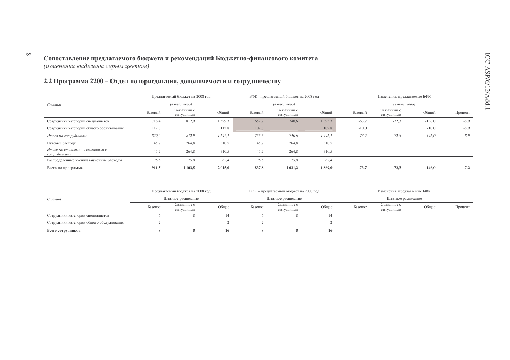#### 2.2 Программа 2200 – Отдел по юрисдикции, дополняемости и сотрудничеству

 $\infty$ 

|                                                  |         | Предлагаемый бюджет на 2008 год  |             |         | БФК - предлагаемый бюджет на 2008 год          |         | Изменения, предлагаемые БФК |                                                    |          |         |  |
|--------------------------------------------------|---------|----------------------------------|-------------|---------|------------------------------------------------|---------|-----------------------------|----------------------------------------------------|----------|---------|--|
| Статья                                           |         | $(a \text{ molc.} \text{~espo})$ |             |         | $(e$ m <sub>bl</sub> $c$ . $e$ $e$ $p$ $o$ $)$ |         |                             | $(\epsilon$ m <sub>bl</sub> c. $\epsilon$ egpo $)$ |          |         |  |
|                                                  | Базовый | Связанный с<br>ситуациями        | Общий       | Базовый | Связанный с<br>ситуациями                      | Общий   | Базовый                     | Связанный с<br>ситуациями                          | Общий    | Процент |  |
| Сотрудники категории специалистов                | 716,4   | 812,9                            | 1529.3      | 652.7   | 740,6                                          | 1 393,3 | $-63,7$                     | $-72,3$                                            | $-136,0$ | $-8,9$  |  |
| Сотрудники категории общего обслуживания         | 112,8   |                                  | 112,8       | 102,8   |                                                | 102.8   | $-10,0$                     |                                                    | $-10.0$  | $-8,9$  |  |
| Итого по сотрудникам                             | 829,2   | 812,9                            | 1642.1      | 755,5   | 740,6                                          | 1 496.1 | $-73,7$                     | $-72,3$                                            | $-146,0$ | $-8.9$  |  |
| Путевые расходы                                  | 45,7    | 264,8                            | 310,5       | 45,7    | 264,8                                          | 310,5   |                             |                                                    |          |         |  |
| Итого по статьям, не связанным с<br>сотрудниками | 45,7    | 264,8                            | 310,5       | 45,7    | 264,8                                          | 310,5   |                             |                                                    |          |         |  |
| Распределенные эксплуатационные расходы          | 36,6    | 25,8                             | 62.4        | 36,6    | 25,8                                           | 62.4    |                             |                                                    |          |         |  |
| Всего по программе                               | 911,5   | 1 103,5                          | 2 0 1 5 , 0 | 837,8   | 1 0 3 1 , 2                                    | 1869,0  | $-73,7$                     | $-72,3$                                            | $-146.0$ | $-7,2$  |  |

|                                          |         | Предлагаемый бюджет на 2008 год |       |         | БФК – предлагаемый бюджет на 2008 год |       | Изменения, предлагаемые БФК |                           |       |         |
|------------------------------------------|---------|---------------------------------|-------|---------|---------------------------------------|-------|-----------------------------|---------------------------|-------|---------|
| Статья                                   |         | Штатное расписание              |       |         | Штатное расписание                    |       |                             | Штатное расписание        |       |         |
|                                          | Базовое | Связанное с<br>ситуациями       | Общее | Базовое | Связанное с<br>ситуациями             | Общее | Базовое                     | Связанное с<br>ситуациями | Общее | Процент |
| Сотрудники категории специалистов        |         |                                 |       |         |                                       |       |                             |                           |       |         |
| Сотрудники категории общего обслуживания |         |                                 |       |         |                                       |       |                             |                           |       |         |
| Всего сотрудников                        |         |                                 | 16.   |         |                                       | 16    |                             |                           |       |         |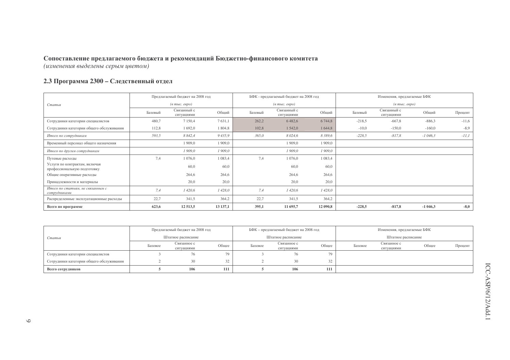#### **2.3 Программа 2300 – Следственный отдел**

|                                                              |         | Предлагаемый бюджет на 2008 год  |             |         | БФК - предлагаемый бюджет на 2008 год                       |             |          | Изменения, предлагаемые БФК            |           |         |
|--------------------------------------------------------------|---------|----------------------------------|-------------|---------|-------------------------------------------------------------|-------------|----------|----------------------------------------|-----------|---------|
| Статья                                                       |         | $(a \text{ molc.} \text{ espo})$ |             |         | $(\epsilon$ m <sub>bl</sub> $c$ . $\epsilon$ e $\rho$ o $)$ |             |          | $(e$ m <sub>bl</sub> $c$ . $e$ e $po)$ |           |         |
|                                                              | Базовый | Связанный с<br>ситуациями        | Общий       | Базовый | Связанный с<br>ситуациями                                   | Общий       | Базовый  | Связанный с<br>ситуациями              | Общий     | Процент |
| Сотрудники категории специалистов                            | 480,7   | 7 1 5 0 4                        | 7631,1      | 262,2   | 6482,6                                                      | 6 744,8     | $-218.5$ | $-667,8$                               | $-886,3$  | $-11,6$ |
| Сотрудники категории общего обслуживания                     | 112,8   | 1 692,0                          | 1804,8      | 102,8   | 1 542,0                                                     | 1 644,8     | $-10.0$  | $-150,0$                               | $-160,0$  | $-8,9$  |
| Итого по сотрудникам                                         | 593,5   | 8 8 4 2, 4                       | 9435,9      | 365,0   | 8 0 24,6                                                    | 8 3 8 9 , 6 | $-228,5$ | $-817.8$                               | $-1046,3$ | $-11,1$ |
| Временный персонал общего назначения                         |         | 1 909,0                          | 1 909,0     |         | 1 909,0                                                     | 1 909,0     |          |                                        |           |         |
| Итого по другим сотрудникам                                  |         | 1 909,0                          | 1 909,0     |         | 1 909,0                                                     | 1 909,0     |          |                                        |           |         |
| Путевые расходы                                              | 7,4     | 1 0 7 6 , 0                      | 1 0 8 3 , 4 | 7,4     | 1 0 76,0                                                    | 1 0 8 3 , 4 |          |                                        |           |         |
| Услуги по контрактам, включая<br>профессиональную подготовку |         | 60,0                             | 60,0        |         | 60,0                                                        | 60,0        |          |                                        |           |         |
| Общие оперативные расходы                                    |         | 264,6                            | 264,6       |         | 264,6                                                       | 264,6       |          |                                        |           |         |
| Принадлежности и материалы                                   |         | 20,0                             | 20,0        |         | 20,0                                                        | 20,0        |          |                                        |           |         |
| Итого по статьям, не связанным с<br>сотрудниками             | 7,4     | 1 420,6                          | 1428,0      | 7,4     | 1420,6                                                      | 1 428,0     |          |                                        |           |         |
| Распределенные эксплуатационные расходы                      | 22,7    | 341,5                            | 364,2       | 22,7    | 341,5                                                       | 364,2       |          |                                        |           |         |
| Всего по программе                                           | 623,6   | 12 5 13,5                        | 13 137,1    | 395,1   | 11 695,7                                                    | 12 090,8    | $-228,5$ | $-817,8$                               | $-1046,3$ | $-8,0$  |

|                                          |         | Предлагаемый бюджет на 2008 год |       |         | БФК – предлагаемый бюджет на 2008 год |            |         | Изменения, предлагаемые БФК |       |         |
|------------------------------------------|---------|---------------------------------|-------|---------|---------------------------------------|------------|---------|-----------------------------|-------|---------|
| Статья                                   |         | Штатное расписание              |       |         | Штатное расписание                    |            |         | Штатное расписание          |       |         |
|                                          | Базовое | Связанное с<br>ситуациями       | Обшее | Базовое | Связанное с<br>ситуациями             | Обшее      | Базовое | Связанное с<br>ситуациями   | Общее | Процент |
| Сотрудники категории специалистов        |         | 76                              | 79    |         | 76                                    |            |         |                             |       |         |
| Сотрудники категории общего обслуживания |         | 30                              | 32    |         | 30                                    | 22<br>سک ف |         |                             |       |         |
| Всего сотрудников                        |         | 106                             | 111   |         | 106                                   | 111        |         |                             |       |         |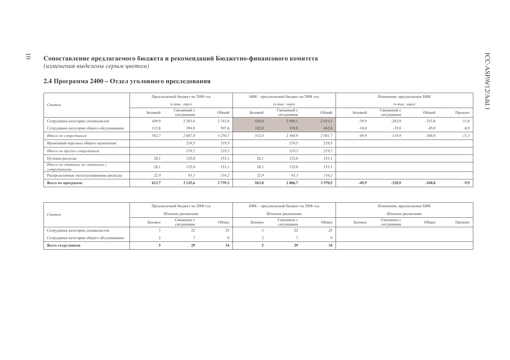#### 2.4 Программа 2400 – Отдел уголовного преследования

|                                                  |         | Предлагаемый бюджет на 2008 год  |             |         | БФК - предлагаемый бюджет на 2008 год                  |             |         | Изменения, предлагаемые БФК  |          |         |
|--------------------------------------------------|---------|----------------------------------|-------------|---------|--------------------------------------------------------|-------------|---------|------------------------------|----------|---------|
| Статья                                           |         | $(a \text{ molc.} \text{ espo})$ |             |         | $(a \text{ mole.} \text{~} \text{~} \text{~} \text{~}$ |             |         | $(a \text{ mole.} \text{~e}$ |          |         |
|                                                  | Базовый | Связанный с<br>ситуациями        | Общий       | Базовый | Связанный с<br>ситуациями                              | Общий       | Базовый | Связанный с<br>ситуациями    | Общий    | Процент |
| Сотрудники категории специалистов                | 449.9   | 2 2 9 3 , 0                      | 2742,9      | 410,0   | 2 0 0 9, 1                                             | 2 4 1 9 , 1 | $-39.9$ | $-283.9$                     | $-323.8$ | $-11,8$ |
| Сотрудники категории общего обслуживания         | 112,8   | 394,8                            | 507,6       | 102,8   | 359,8                                                  | 462,6       | $-10,0$ | $-35,0$                      | $-45,0$  | $-8,9$  |
| Итого по сотрудникам                             | 562,7   | 2687,8                           | 3 2 5 0 , 5 | 512,8   | 2 368,9                                                | 2 881,7     | $-49,9$ | $-318,9$                     | $-368,8$ | $-11,3$ |
| Временный персонал общего назначения             |         | 219,5                            | 219,5       |         | 219,5                                                  | 219,5       |         |                              |          |         |
| Итого по другим сотрудникам                      |         | 219,5                            | 219,5       |         | 219,5                                                  | 219,5       |         |                              |          |         |
| Путевые расходы                                  | 28,1    | 125,0                            | 153,1       | 28,1    | 125,0                                                  | 153,1       |         |                              |          |         |
| Итого по статьям, не связанным с<br>сотрудниками | 28,1    | 125,0                            | 153,1       | 28,1    | 125,0                                                  | 153,1       |         |                              |          |         |
| Распределенные эксплуатационные расходы          | 22.9    | 93,3                             | 116.2       | 22.9    | 93.3                                                   | 116.2       |         |                              |          |         |
| Всего по программе                               | 613,7   | 3 1 2 5 , 6                      | 3739,3      | 563,8   | 2806,7                                                 | 3 3 7 0 , 5 | $-49.9$ | $-318,9$                     | $-368,8$ | $-9,9$  |

|                                          |         | Предлагаемый бюджет на 2008 год |       |         | БФК – предлагаемый бюджет на 2008 год |       |         | Изменения, предлагаемые БФК |       |         |
|------------------------------------------|---------|---------------------------------|-------|---------|---------------------------------------|-------|---------|-----------------------------|-------|---------|
| Статья                                   |         | Штатное расписание              |       |         | Штатное расписание                    |       |         | Штатное расписание          |       |         |
|                                          | Базовое | Связанное с<br>ситуациями       | Общее | Базовое | Связанное с<br>ситуациями             | Общее | Базовое | Связанное с<br>ситуациями   | Общее | Процент |
| Сотрудники категории специалистов        |         | 22                              |       |         | 22                                    | سد    |         |                             |       |         |
| Сотрудники категории общего обслуживания |         |                                 |       |         |                                       |       |         |                             |       |         |
| Всего сотрудников                        |         | 29                              | 34    |         | 29                                    |       |         |                             |       |         |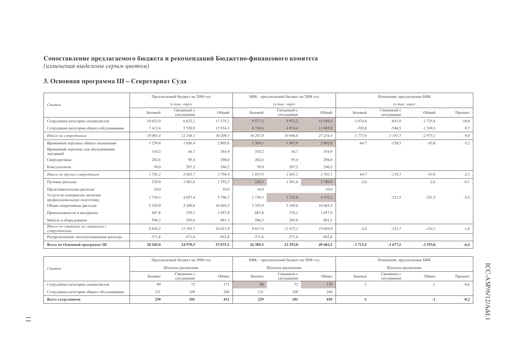### 3. Основная программа III - Секретариат Суда

|                                                              |             | Предлагаемый бюджет на 2008 год                    |            |             | БФК - предлагаемый бюджет на 2008 год |             |           | Изменения, предлагаемые БФК                        |           |         |
|--------------------------------------------------------------|-------------|----------------------------------------------------|------------|-------------|---------------------------------------|-------------|-----------|----------------------------------------------------|-----------|---------|
| Статья                                                       |             | $(\epsilon$ m <sub>bi</sub> c. $\epsilon$ egpo $)$ |            |             | $(a \text{ mole.} \text{~e}$          |             |           | $(\epsilon$ m <sub>bi</sub> c. $\epsilon$ egpo $)$ |           |         |
|                                                              | Базовый     | Связанный с<br>ситуациями                          | Общий      | Базовый     | Связанный с<br>ситуациями             | Общий       | Базовый   | Связанный с<br>ситуациями                          | Общий     | Процент |
| Сотрудники категории специалистов                            | 10 652,0    | 6 6 2 3 , 2                                        | 17 275,2   | 9 577,2     | 5 9 7 2 , 2                           | 15 549,4    | $-1074,8$ | $-651,0$                                           | $-1725,8$ | $-10,0$ |
| Сотрудники категории общего обслуживания                     | 7413,4      | 5 5 2 0, 9                                         | 12 9 34, 3 | 6 7 1 0 . 6 | 4 9 7 4 4                             | 11 685,0    | $-702,8$  | $-546,5$                                           | $-1249,3$ | $-9,7$  |
| Итого по сотрудникам                                         | 18 065,4    | 12 144,1                                           | 30 209,5   | 16 287,8    | 10 946,6                              | 27 234,4    | $-1777.6$ | $-1197.5$                                          | $-2975,1$ | $-9,8$  |
| Временный персонал общего назначения                         | 1 2 3 9 , 4 | 1 656,4                                            | 2895,8     | 1 304,1     | 1497,9                                | 2 802,0     | 64,7      | $-158,5$                                           | $-93,8$   | $-3,2$  |
| Временный персонал для обслуживания<br>заседаний             | 310,2       | 44,7                                               | 354,9      | 310,2       | 44,7                                  | 354.9       |           |                                                    |           |         |
| Сверхурочные                                                 | 202,6       | 95,4                                               | 298,0      | 202,6       | 95,4                                  | 298,0       |           |                                                    |           |         |
| Консультанты                                                 | 39,0        | 207,2                                              | 246,2      | 39,0        | 207,2                                 | 246,2       |           |                                                    |           |         |
| Итого по другим сотрудникам                                  | 1791,2      | 2 003,7                                            | 3794,9     | 1855,9      | 1845,2                                | 3 701,1     | 64,7      | $-158,5$                                           | $-93,8$   | $-2,5$  |
| Путевые расходы                                              | 230,9       | 1561,6                                             | 1792,5     | 228,3       | 1561,6                                | 1789,9      | $-2,6$    |                                                    | $-2,6$    | $-0,1$  |
| Представительские расходы                                    | 10,0        |                                                    | 10,0       | 10,0        |                                       | 10,0        |           |                                                    |           |         |
| Услуги по контрактам, включая<br>профессиональную подготовку | 1739.3      | 4 0 5 7.4                                          | 5 7 9 6, 7 | 1739,3      | 3 7 3 5 9                             | 5 4 7 5 , 2 |           | $-321.5$                                           | $-321,5$  | $-5,5$  |
| Общие оперативные расходы                                    | 5 3 5 5 9   | 5 109,6                                            | 10465,5    | 5 3 5 5 9   | 5 109,6                               | 10465.5     |           |                                                    |           |         |
| Принадлежности и материалы                                   | 687,8       | 370,1                                              | 1057,9     | 687,8       | 370,1                                 | 1 0 5 7 9   |           |                                                    |           |         |
| Мебель и оборудование                                        | 596,3       | 295,0                                              | 891,3      | 596,3       | 295,0                                 | 891,3       |           |                                                    |           |         |
| Итого по статьям, не связанным с<br>сотрудниками             | 8 620,2     | 11 393,7                                           | 20013,9    | 8617,6      | 11 072,2                              | 19 689,8    | $-2,6$    | $-321,5$                                           | $-324,1$  | $-1,6$  |
| Распределенные эксплуатационные расходы                      | $-371,8$    | $-571,0$                                           | $-942,8$   | $-371,8$    | $-571,0$                              | $-942,8$    |           |                                                    |           |         |
| Всего по Основной программе III                              | 28 105,0    | 24 970,5                                           | 53 075,5   | 26 389,5    | 23 29 3,0                             | 49 682.5    | $-1715,5$ | $-1677,5$                                          | $-3393,0$ | $-6,4$  |

|                                          |                    | Предлагаемый бюджет на 2008 год |       |                 | БФК - предлагаемый бюджет на 2008 год |       | Изменения, предлагаемые БФК |                           |       |         |
|------------------------------------------|--------------------|---------------------------------|-------|-----------------|---------------------------------------|-------|-----------------------------|---------------------------|-------|---------|
| Статья                                   | Штатное расписание |                                 |       |                 | Штатное расписание                    |       |                             | Штатное расписание        |       |         |
|                                          | Базовое            | Связанное с<br>ситуациями       | Общее | Базовое         | Связанное с<br>ситуациями             | Общее | Базовое                     | Связанное с<br>ситуациями | Общее | Процент |
| Сотрудники категории специалистов        |                    |                                 | 171   | 98              |                                       | 170   |                             |                           |       | $-0,6$  |
| Сотрудники категории общего обслуживания | 131                | 109                             | 240   | 13 <sup>2</sup> | 109                                   | 240   |                             |                           |       |         |
| Всего сотрудников                        | 230                | 181                             | 411   | 229             | 181                                   | 410   |                             |                           |       | $-0,2$  |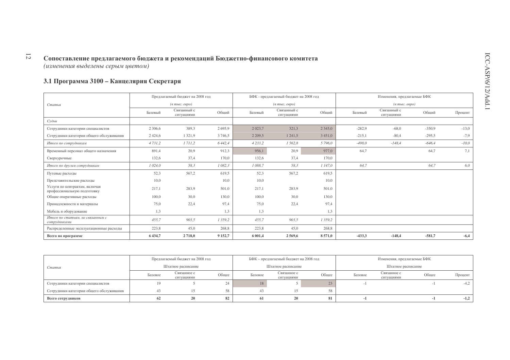### 3.1 Программа 3100 - Канцелярия Секретаря

|                                                              |             | Предлагаемый бюджет на 2008 год                    |             |             | БФК - предлагаемый бюджет на 2008 год  |             |          | Изменения, предлагаемые БФК                           |          |         |
|--------------------------------------------------------------|-------------|----------------------------------------------------|-------------|-------------|----------------------------------------|-------------|----------|-------------------------------------------------------|----------|---------|
| Статья                                                       |             | $(\epsilon$ m <sub>bi</sub> c. $\epsilon$ egpo $)$ |             |             | $(6 \text{ molc.}$ $\epsilon$ egpo $)$ |             |          | $(\epsilon$ m <sub>bl</sub> $c$ . $\epsilon$ egpo $)$ |          |         |
|                                                              | Базовый     | Связанный с<br>ситуациями                          | Общий       | Базовый     | Связанный с<br>ситуациями              | Общий       | Базовый  | Связанный с<br>ситуациями                             | Общий    | Процент |
| Судьи                                                        |             |                                                    |             |             |                                        |             |          |                                                       |          |         |
| Сотрудники категории специалистов                            | 2 3 0 6, 6  | 389,3                                              | 2695,9      | 2 0 2 3 , 7 | 321.3                                  | 2 3 4 5 , 0 | $-282.9$ | $-68.0$                                               | $-350.9$ | $-13,0$ |
| Сотрудники категории общего обслуживания                     | 2 4 2 4 .6  | 1 3 2 1 , 9                                        | 3 7 4 6 5   | 2 2 0 9 .5  | 1 241,5                                | 3 4 5 1 , 0 | $-215,1$ | $-80,4$                                               | $-295,5$ | $-7,9$  |
| Итого по сотрудникам                                         | 4 7 3 1 , 2 | 1711,2                                             | 6 4 4 2, 4  | 4 2 3 3 , 2 | 1562,8                                 | 5 796.0     | $-498.0$ | $-148,4$                                              | $-646,4$ | $-10,0$ |
| Временный персонал общего назначения                         | 891,4       | 20,9                                               | 912,3       | 956,1       | 20,9                                   | 977,0       | 64,7     |                                                       | 64,7     | 7,1     |
| Сверхурочные                                                 | 132,6       | 37,4                                               | 170,0       | 132,6       | 37,4                                   | 170,0       |          |                                                       |          |         |
| Итого по другим сотрудникам                                  | 1 024,0     | 58,3                                               | 1 082,3     | 1 088,7     | 58,3                                   | 1147,0      | 64,7     |                                                       | 64,7     | 6,0     |
| Путевые расходы                                              | 52,3        | 567,2                                              | 619,5       | 52,3        | 567,2                                  | 619,5       |          |                                                       |          |         |
| Представительские расходы                                    | 10,0        |                                                    | 10,0        | 10,0        |                                        | 10,0        |          |                                                       |          |         |
| Услуги по контрактам, включая<br>профессиональную подготовку | 217,1       | 283,9                                              | 501,0       | 217,1       | 283,9                                  | 501,0       |          |                                                       |          |         |
| Общие оперативные расходы                                    | 100,0       | 30,0                                               | 130,0       | 100,0       | 30,0                                   | 130,0       |          |                                                       |          |         |
| Принадлежности и материалы                                   | 75,0        | 22,4                                               | 97,4        | 75,0        | 22,4                                   | 97,4        |          |                                                       |          |         |
| Мебель и оборудование                                        | 1,3         |                                                    | 1.3         | 1,3         |                                        | 1,3         |          |                                                       |          |         |
| Итого по статьям, не связанным с<br>сотрудниками             | 455,7       | 903,5                                              | 1 3 5 9 , 2 | 455,7       | 903,5                                  | 1 359,2     |          |                                                       |          |         |
| Распределенные эксплуатационные расходы                      | 223,8       | 45,0                                               | 268,8       | 223,8       | 45,0                                   | 268,8       |          |                                                       |          |         |
| Всего по программе                                           | 6 4 3 4 , 7 | 2718,0                                             | 9 1 5 2, 7  | 6 001,4     | 2569,6                                 | 8571,0      | $-433,3$ | $-148,4$                                              | $-581,7$ | $-6,4$  |

|                                          |                    | Предлагаемый бюджет на 2008 год |       |         | БФК – предлагаемый бюджет на 2008 год |       |         | Изменения, предлагаемые БФК |       |         |
|------------------------------------------|--------------------|---------------------------------|-------|---------|---------------------------------------|-------|---------|-----------------------------|-------|---------|
| Статья                                   | Штатное расписание |                                 |       |         | Штатное расписание                    |       |         | Штатное расписание          |       |         |
|                                          | Базовое            | Связанное с<br>ситуациями       | Общее | Базовое | Связанное с<br>ситуациями             | Общее | Базовое | Связанное с<br>ситуациями   | Общее | Процент |
| Сотрудники категории специалистов        |                    |                                 |       | 18      |                                       |       |         |                             |       | $-4,2$  |
| Сотрудники категории общего обслуживания | 43                 |                                 |       |         |                                       | 58    |         |                             |       |         |
| Всего сотрудников                        | 62                 |                                 | 82    |         | 20                                    | 81    |         |                             |       | $-1,2$  |

 $\overline{\omega}$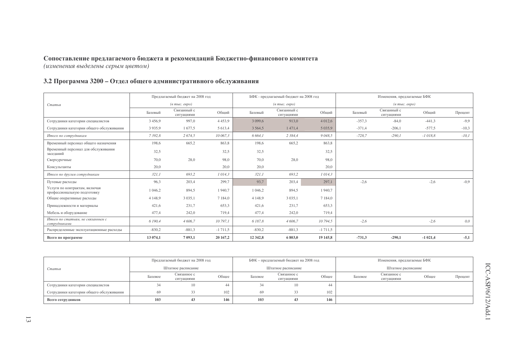#### 3.2 Программа 3200 - Отдел общего административного обслуживания

|                                                              |             | Предлагаемый бюджет на 2008 год   |             |             | БФК - предлагаемый бюджет на 2008 год                   |             |          | Изменения, предлагаемые БФК                           |           |         |
|--------------------------------------------------------------|-------------|-----------------------------------|-------------|-------------|---------------------------------------------------------|-------------|----------|-------------------------------------------------------|-----------|---------|
| Статья                                                       |             | $(a \text{ mole.} \text{~e}$ вро) |             |             | $(a \text{ mol.} \text{ e }\text{e}\text{ }p\text{ }o)$ |             |          | $(\epsilon$ m <sub>bi</sub> $c$ . $\epsilon$ egpo $)$ |           |         |
|                                                              | Базовый     | Связанный с<br>ситуациями         | Общий       | Базовый     | Связанный с<br>ситуациями                               | Общий       | Базовый  | Связанный с<br>ситуациями                             | Общий     | Процент |
| Сотрудники категории специалистов                            | 3 4 5 6, 9  | 997,0                             | 4453,9      | 3 0 9 9 , 6 | 913,0                                                   | 4 0 1 2,6   | $-357.3$ | $-84,0$                                               | $-441,3$  | $-9,9$  |
| Сотрудники категории общего обслуживания                     | 3935,9      | 1677,5                            | 5 6 1 3,4   | 3 5 6 4 5   | 1471,4                                                  | 5 0 3 5 , 9 | $-371,4$ | $-206,1$                                              | $-577.5$  | $-10,3$ |
| Итого по сотрудникам                                         | 7392,8      | 2 674,5                           | 10 067,3    | 6 664,1     | 2 3 8 4 4                                               | 9 0 48.5    | $-728,7$ | $-290,1$                                              | $-1018,8$ | $-10,1$ |
| Временный персонал общего назначения                         | 198,6       | 665,2                             | 863,8       | 198,6       | 665,2                                                   | 863,8       |          |                                                       |           |         |
| Временный персонал для обслуживания<br>заседаний             | 32,5        |                                   | 32,5        | 32,5        |                                                         | 32,5        |          |                                                       |           |         |
| Сверхурочные                                                 | 70,0        | 28,0                              | 98,0        | 70,0        | 28,0                                                    | 98,0        |          |                                                       |           |         |
| Консультанты                                                 | 20,0        |                                   | 20,0        | 20,0        |                                                         | 20,0        |          |                                                       |           |         |
| Итого по другим сотрудникам                                  | 321,1       | 693,2                             | 1014,3      | 321,1       | 693,2                                                   | 1014,3      |          |                                                       |           |         |
| Путевые расходы                                              | 96,3        | 203,4                             | 299,7       | 93,7        | 203,4                                                   | 297.1       | $-2,6$   |                                                       | $-2,6$    | $-0.9$  |
| Услуги по контрактам, включая<br>профессиональную подготовку | 1 046,2     | 894,5                             | 1940,7      | 1 046,2     | 894,5                                                   | 1 940,7     |          |                                                       |           |         |
| Общие оперативные расходы                                    | 4 1 4 8 , 9 | 3 0 3 5 , 1                       | 7 1 8 4 , 0 | 4 1 4 8 , 9 | 3 0 3 5 , 1                                             | 7 1 8 4 , 0 |          |                                                       |           |         |
| Принадлежности и материалы                                   | 421,6       | 231,7                             | 653,3       | 421,6       | 231,7                                                   | 653,3       |          |                                                       |           |         |
| Мебель и оборудование                                        | 477,4       | 242,0                             | 719,4       | 477,4       | 242,0                                                   | 719,4       |          |                                                       |           |         |
| Итого по статьям, не связанным с<br>сотрудниками             | 6 190,4     | 4 606,7                           | 10 797,1    | 6 187,8     | 4 606,7                                                 | 10 794,5    | $-2,6$   |                                                       | $-2,6$    | 0,0     |
| Распределенные эксплуатационные расходы                      | $-830,2$    | $-881,3$                          | $-1711,5$   | $-830,2$    | $-881,3$                                                | $-1711,5$   |          |                                                       |           |         |
| Всего по программе                                           | 13 074,1    | 7 093,1                           | 20 167,2    | 12 342,8    | 6 803,0                                                 | 19 145,8    | $-731,3$ | $-290,1$                                              | $-1021,4$ | $-5,1$  |

|                                          |                    | Предлагаемый бюджет на 2008 год |       |         | БФК – предлагаемый бюджет на 2008 год |       | Изменения, предлагаемые БФК |                           |       |         |  |
|------------------------------------------|--------------------|---------------------------------|-------|---------|---------------------------------------|-------|-----------------------------|---------------------------|-------|---------|--|
| Статья                                   | Штатное расписание |                                 |       |         | Штатное расписание                    |       |                             | Штатное расписание        |       |         |  |
|                                          | Базовое            | Связанное с<br>ситуациями       | Общее | Базовое | Связанное с<br>ситуациями             | Общее | Базовое                     | Связанное с<br>ситуациями | Общее | Процент |  |
| Сотрудники категории специалистов        |                    | 10                              | 44    |         | 10                                    |       |                             |                           |       |         |  |
| Сотрудники категории общего обслуживания | 69                 |                                 | 102   | 69      |                                       | 102   |                             |                           |       |         |  |
| Всего сотрудников                        | 103                | 43                              | 146   | 103     | 43                                    | 146   |                             |                           |       |         |  |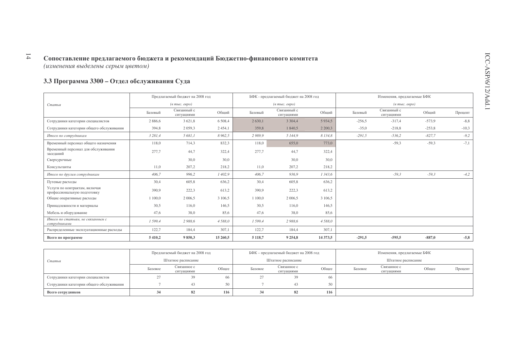### 3.3 Программа 3300 - Отдел обслуживания Суда

|                                                              |             | Предлагаемый бюджет на 2008 год |             |             | БФК - предлагаемый бюджет на 2008 год |             |          | Изменения, предлагаемые БФК            |          |         |
|--------------------------------------------------------------|-------------|---------------------------------|-------------|-------------|---------------------------------------|-------------|----------|----------------------------------------|----------|---------|
| Статья                                                       |             | $(a$ тыс. евро)                 |             |             | $(a$ тыс. евро)                       |             |          | $(e$ m <sub>bl</sub> $c$ . $e$ e $po)$ |          |         |
|                                                              | Базовый     | Связанный с<br>ситуациями       | Общий       | Базовый     | Связанный с<br>ситуациями             | Общий       | Базовый  | Связанный с<br>ситуациями              | Общий    | Процент |
| Сотрудники категории специалистов                            | 2 8 8 6 . 6 | 3 6 2 1 , 8                     | 6 5 0 8 , 4 | 2 6 3 0 , 1 | 3 3 0 4 4                             | 5 9 3 4 5   | $-256,5$ | $-317,4$                               | $-573,9$ | $-8, 8$ |
| Сотрудники категории общего обслуживания                     | 394,8       | 2 0 5 9 3                       | 2 4 5 4 , 1 | 359,8       | 1 840,5                               | 2 2 0 0 3   | $-35,0$  | $-218,8$                               | $-253,8$ | $-10,3$ |
| Итого по сотрудникам                                         | 3 281,4     | 5 681,1                         | 8 9 6 2, 5  | 2989,9      | 5 144,9                               | 8 1 3 4 , 8 | $-291,5$ | $-536,2$                               | $-827.7$ | $-9,2$  |
| Временный персонал общего назначения                         | 118,0       | 714,3                           | 832.3       | 118,0       | 655,0                                 | 773.0       |          | $-59,3$                                | $-59,3$  | $-7,1$  |
| Временный персонал для обслуживания<br>заседаний             | 277,7       | 44,7                            | 322,4       | 277,7       | 44,7                                  | 322,4       |          |                                        |          |         |
| Сверхурочные                                                 |             | 30,0                            | 30,0        |             | 30,0                                  | 30,0        |          |                                        |          |         |
| Консультанты                                                 | 11,0        | 207,2                           | 218,2       | 11,0        | 207,2                                 | 218,2       |          |                                        |          |         |
| Итого по другим сотрудникам                                  | 406,7       | 996,2                           | 1 402,9     | 406,7       | 936,9                                 | 1 343,6     |          | $-59,3$                                | $-59,3$  | $-4,2$  |
| Путевые расходы                                              | 30,4        | 605,8                           | 636,2       | 30,4        | 605,8                                 | 636,2       |          |                                        |          |         |
| Услуги по контрактам, включая<br>профессиональную подготовку | 390,9       | 222,3                           | 613,2       | 390,9       | 222,3                                 | 613,2       |          |                                        |          |         |
| Общие оперативные расходы                                    | 1 100,0     | 2 006,5                         | 3 106,5     | 1 100.0     | 2 0 0 6 .5                            | 3 106,5     |          |                                        |          |         |
| Принадлежности и материалы                                   | 30,5        | 116,0                           | 146,5       | 30,5        | 116,0                                 | 146,5       |          |                                        |          |         |
| Мебель и оборудование                                        | 47,6        | 38,0                            | 85,6        | 47,6        | 38,0                                  | 85,6        |          |                                        |          |         |
| Итого по статьям, не связанным с<br>сотрудниками             | 1 599,4     | 2 988,6                         | 4588,0      | 1599,4      | 2 988,6                               | 4 5 8 8,0   |          |                                        |          |         |
| Распределенные эксплуатационные расходы                      | 122,7       | 184,4                           | 307,1       | 122,7       | 184,4                                 | 307,1       |          |                                        |          |         |
| Всего по программе                                           | 5 4 1 0 , 2 | 9850,3                          | 15 260,5    | 5 1 1 8 , 7 | 9 2 5 4 , 8                           | 14 373,5    | $-291,5$ | $-595,5$                               | $-887,0$ | $-5,8$  |

|                                          |         | Предлагаемый бюджет на 2008 год |       |         | БФК – предлагаемый бюджет на 2008 год |              | Изменения, предлагаемые БФК |                           |       |         |
|------------------------------------------|---------|---------------------------------|-------|---------|---------------------------------------|--------------|-----------------------------|---------------------------|-------|---------|
| Статья                                   |         | Штатное расписание              |       |         | Штатное расписание                    |              |                             | Штатное расписание        |       |         |
|                                          | Базовое | Связанное с<br>ситуациями       | Общее | Базовое | Связанное с<br>ситуациями             | Общее        | Базовое                     | Связанное с<br>ситуациями | Общее | Процент |
| Сотрудники категории специалистов        |         | 39                              | 66.   |         | 39                                    | 66           |                             |                           |       |         |
| Сотрудники категории общего обслуживания |         |                                 | 50    |         |                                       | $50^{\circ}$ |                             |                           |       |         |
| Всего сотрудников                        |         | 82                              | 116   | 34      | 82                                    | 116          |                             |                           |       |         |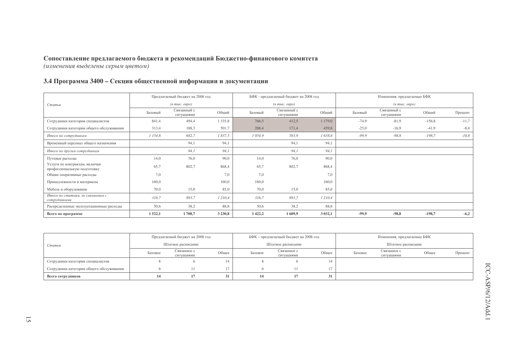#### 3.4 Программа 3400 – Секция общественной информации и документации

|                                                              |         | Предлагаемый бюджет на 2008 год                    |             |            | БФК - предлагаемый бюджет на 2008 год                   |            |         | Изменения, предлагаемые БФК            |          |         |
|--------------------------------------------------------------|---------|----------------------------------------------------|-------------|------------|---------------------------------------------------------|------------|---------|----------------------------------------|----------|---------|
| Статья                                                       |         | $(\epsilon$ m <sub>bl</sub> $c$ . $\epsilon$ egpo) |             |            | $(a \text{ mol.} \text{ e }\text{e}\text{ }p\text{ }o)$ |            |         | $(e$ m <sub>bl</sub> $c$ . $e$ e $po)$ |          |         |
|                                                              | Базовый | Связанный с<br>ситуациями                          | Общий       | Базовый    | Связанный с<br>ситуациями                               | Общий      | Базовый | Связанный с<br>ситуациями              | Общий    | Процент |
| Сотрудники категории специалистов                            | 841,4   | 494,4                                              | 1 3 3 5 , 8 | 766,5      | 412,5                                                   | 1 179,0    | $-74.9$ | $-81,9$                                | $-156,8$ | $-11,7$ |
| Сотрудники категории общего обслуживания                     | 313,4   | 188,3                                              | 501,7       | 288,4      | 171,4                                                   | 459,8      | $-25,0$ | $-16,9$                                | $-41,9$  | $-8,4$  |
| Итого по сотрудникам                                         | 1 154,8 | 682,7                                              | 1837,5      | 1 0 5 4, 9 | 583,9                                                   | 1638,8     | $-99.9$ | $-98,8$                                | $-198,7$ | $-10,8$ |
| Временный персонал общего назначения                         |         | 94,1                                               | 94,1        |            | 94,1                                                    | 94,1       |         |                                        |          |         |
| Итого по другим сотрудникам                                  |         | 94,1                                               | 94,1        |            | 94,1                                                    | 94,1       |         |                                        |          |         |
| Путевые расходы                                              | 14,0    | 76,0                                               | 90,0        | 14,0       | 76,0                                                    | 90,0       |         |                                        |          |         |
| Услуги по контрактам, включая<br>профессиональную подготовку | 65,7    | 802,7                                              | 868,4       | 65,7       | 802,7                                                   | 868,4      |         |                                        |          |         |
| Общие оперативные расходы                                    | 7,0     |                                                    | 7.0         | 7,0        |                                                         | 7.0        |         |                                        |          |         |
| Принадлежности и материалы                                   | 160,0   |                                                    | 160,0       | 160,0      |                                                         | 160,0      |         |                                        |          |         |
| Мебель и оборудование                                        | 70,0    | 15,0                                               | 85,0        | 70,0       | 15,0                                                    | 85,0       |         |                                        |          |         |
| Итого по статьям, не связанным с<br>сотрудниками             | 316,7   | 893,7                                              | 1210,4      | 316,7      | 893,7                                                   | 1210,4     |         |                                        |          |         |
| Распределенные эксплуатационные расходы                      | 50,6    | 38,2                                               | 88,8        | 50,6       | 38,2                                                    | 88,8       |         |                                        |          |         |
| Всего по программе                                           | 1522,1  | 1708,7                                             | 3 2 3 0 , 8 | 1422,2     | 1609,9                                                  | 3 0 3 2, 1 | $-99,9$ | $-98,8$                                | $-198,7$ | $-6,2$  |

|                                          |         | Предлагаемый бюджет на 2008 год |       |         | БФК - предлагаемый бюджет на 2008 год |       |         | Изменения, предлагаемые БФК |       |         |
|------------------------------------------|---------|---------------------------------|-------|---------|---------------------------------------|-------|---------|-----------------------------|-------|---------|
| Статья                                   |         | Штатное расписание              |       |         | Штатное расписание                    |       |         | Штатное расписание          |       |         |
|                                          | Базовое | Связанное с<br>ситуациями       | Общее | Базовое | Связанное с<br>ситуациями             | Общее | Базовое | Связанное с<br>ситуациями   | Общее | Процент |
| Сотрудники категории специалистов        |         |                                 | 14    |         |                                       | 14    |         |                             |       |         |
| Сотрудники категории общего обслуживания |         |                                 |       |         |                                       | 17    |         |                             |       |         |
| Всего сотрудников                        |         |                                 | 31    | 14      |                                       | JІ    |         |                             |       |         |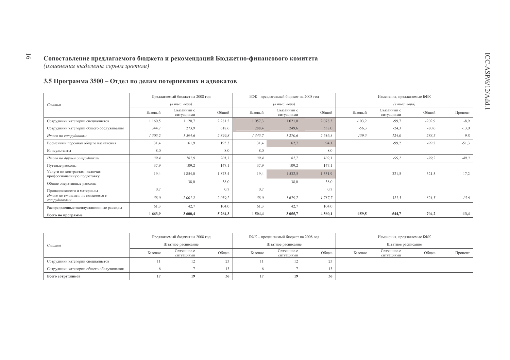#### 3.5 Программа 3500 - Отдел по делам потерпевших и адвокатов

|                                                              |         | Предлагаемый бюджет на 2008 год                         |             |             | БФК - предлагаемый бюджет на 2008 год |             |          | Изменения, предлагаемые БФК      |          |         |
|--------------------------------------------------------------|---------|---------------------------------------------------------|-------------|-------------|---------------------------------------|-------------|----------|----------------------------------|----------|---------|
| Статья                                                       |         | $(a \text{ mol.} \text{ e }\text{e}\text{ }p\text{ }o)$ |             |             | $(a \text{ molc.} \text{ espo})$      |             |          | $(a \text{ molc.} \text{ espo})$ |          |         |
|                                                              | Базовый | Связанный с<br>ситуациями                               | Общий       | Базовый     | Связанный с<br>ситуациями             | Общий       | Базовый  | Связанный с<br>ситуациями        | Общий    | Процент |
| Сотрудники категории специалистов                            | 1 160,5 | 1 1 2 0,7                                               | 2 2 8 1 , 2 | 1 0 5 7 3   | 1 0 2 1 , 0                           | 2 0 78, 3   | $-103,2$ | $-99,7$                          | $-202,9$ | $-8,9$  |
| Сотрудники категории общего обслуживания                     | 344,7   | 273,9                                                   | 618,6       | 288,4       | 249,6                                 | 538,0       | $-56,3$  | $-24,3$                          | $-80,6$  | $-13,0$ |
| Итого по сотрудникам                                         | 1 505,2 | 1 3 9 4, 6                                              | 2899,8      | 1 3 4 5 , 7 | 1 270,6                               | 2 616,3     | $-159,5$ | $-124,0$                         | $-283,5$ | $-9,8$  |
| Временный персонал общего назначения                         | 31,4    | 161,9                                                   | 193,3       | 31,4        | 62,7                                  | 94,1        |          | $-99,2$                          | $-99,2$  | $-51,3$ |
| Консультанты                                                 | 8,0     |                                                         | 8,0         | 8,0         |                                       | 8,0         |          |                                  |          |         |
| Итого по другим сотрудникам                                  | 39,4    | 161,9                                                   | 201,3       | 39,4        | 62,7                                  | 102,1       |          | $-99,2$                          | $-99,2$  | $-49,3$ |
| Путевые расходы                                              | 37,9    | 109,2                                                   | 147,1       | 37,9        | 109,2                                 | 147,1       |          |                                  |          |         |
| Услуги по контрактам, включая<br>профессиональную подготовку | 19,4    | 1 854,0                                                 | 1873,4      | 19,4        | 1532,5                                | 1551,9      |          | $-321.5$                         | $-321,5$ | $-17,2$ |
| Общие оперативные расходы                                    |         | 38,0                                                    | 38.0        |             | 38.0                                  | 38.0        |          |                                  |          |         |
| Принадлежности и материалы                                   | 0,7     |                                                         | 0,7         | 0,7         |                                       | 0,7         |          |                                  |          |         |
| Итого по статьям, не связанным с<br>сотрудниками             | 58,0    | 2 001,2                                                 | 2059,2      | 58,0        | 1679,7                                | 1 737,7     |          | $-321,5$                         | $-321,5$ | $-15,6$ |
| Распределенные эксплуатационные расходы                      | 61,3    | 42,7                                                    | 104,0       | 61,3        | 42,7                                  | 104,0       |          |                                  |          |         |
| Всего по программе                                           | 1663,9  | 3 600,4                                                 | 5 2 6 4 3   | 1504,4      | 3 0 5 5 , 7                           | 4 5 6 0 , 1 | $-159,5$ | $-544,7$                         | $-704,2$ | $-13,4$ |

|                                          |         | Предлагаемый бюджет на 2008 год |       |         | БФК – предлагаемый бюджет на 2008 год |       | Изменения, предлагаемые БФК |                           |       |         |
|------------------------------------------|---------|---------------------------------|-------|---------|---------------------------------------|-------|-----------------------------|---------------------------|-------|---------|
| Статья                                   |         | Штатное расписание              |       |         | Штатное расписание                    |       |                             | Штатное расписание        |       |         |
|                                          | Базовое | Связанное с<br>ситуациями       | Общее | Базовое | Связанное с<br>ситуациями             | Общее | Базовое                     | Связанное с<br>ситуациями | Общее | Процент |
| Сотрудники категории специалистов        |         | 12                              | 23    |         | L Z.                                  |       |                             |                           |       |         |
| Сотрудники категории общего обслуживания |         |                                 | 13.   |         |                                       |       |                             |                           |       |         |
| Всего сотрудников                        |         | 19                              | 26    |         | 19                                    | 36    |                             |                           |       |         |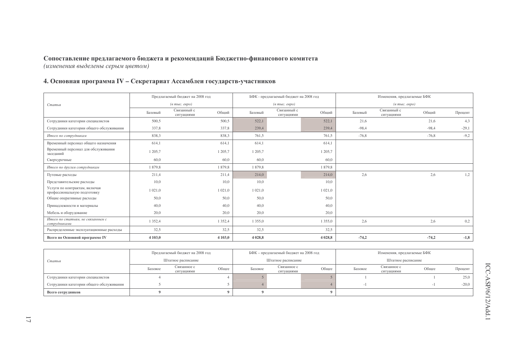### 4. Основная программа IV - Секретариат Ассамблеи государств-участников

|                                                              | Предлагаемый бюджет на 2008 год<br>БФК - предлагаемый бюджет на 2008 год |                                  |             |             |                                  |             |         | Изменения, предлагаемые БФК                        |         |         |
|--------------------------------------------------------------|--------------------------------------------------------------------------|----------------------------------|-------------|-------------|----------------------------------|-------------|---------|----------------------------------------------------|---------|---------|
| Статья                                                       |                                                                          | $(a \text{ molc.} \text{ espo})$ |             |             | $(e \text{ molc.} \text{ eepo})$ |             |         | $(\epsilon$ m <sub>bl</sub> c. $\epsilon$ egpo $)$ |         |         |
|                                                              | Базовый                                                                  | Связанный с<br>ситуациями        | Общий       | Базовый     | Связанный с<br>ситуациями        | Общий       | Базовый | Связанный с<br>ситуациями                          | Общий   | Процент |
| Сотрудники категории специалистов                            | 500.5                                                                    |                                  | 500.5       | 522,1       |                                  | 522,1       | 21,6    |                                                    | 21,6    | 4.3     |
| Сотрудники категории общего обслуживания                     | 337,8                                                                    |                                  | 337,8       | 239,4       |                                  | 239,4       | $-98,4$ |                                                    | $-98,4$ | $-29,1$ |
| Итого по сотрудникам                                         | 838,3                                                                    |                                  | 838,3       | 761,5       |                                  | 761,5       | $-76,8$ |                                                    | $-76,8$ | $-9,2$  |
| Временный персонал общего назначения                         | 614,1                                                                    |                                  | 614,1       | 614,1       |                                  | 614,1       |         |                                                    |         |         |
| Временный персонал для обслуживания<br>заседаний             | 1 205,7                                                                  |                                  | 1 205,7     | 1 205,7     |                                  | 1 205,7     |         |                                                    |         |         |
| Сверхурочные                                                 | 60,0                                                                     |                                  | 60,0        | 60,0        |                                  | 60,0        |         |                                                    |         |         |
| Итого по другим сотрудникам                                  | 1879,8                                                                   |                                  | 1879,8      | 1879,8      |                                  | 1879,8      |         |                                                    |         |         |
| Путевые расходы                                              | 211,4                                                                    |                                  | 211,4       | 214,0       |                                  | 214,0       | 2,6     |                                                    | 2,6     | 1,2     |
| Представительские расходы                                    | 10,0                                                                     |                                  | 10,0        | 10,0        |                                  | 10,0        |         |                                                    |         |         |
| Услуги по контрактам, включая<br>профессиональную подготовку | 1 0 2 1 .0                                                               |                                  | 1 0 2 1 , 0 | 1 0 2 1 .0  |                                  | 1 0 2 1 , 0 |         |                                                    |         |         |
| Общие оперативные расходы                                    | 50,0                                                                     |                                  | 50,0        | 50,0        |                                  | 50,0        |         |                                                    |         |         |
| Принадлежности и материалы                                   | 40,0                                                                     |                                  | 40,0        | 40,0        |                                  | 40,0        |         |                                                    |         |         |
| Мебель и оборудование                                        | 20,0                                                                     |                                  | 20,0        | 20,0        |                                  | 20,0        |         |                                                    |         |         |
| Итого по статьям, не связанным с<br>сотрудниками             | 1 3 5 2, 4                                                               |                                  | 1 3 5 2, 4  | 1 3 5 5 , 0 |                                  | 1 3 5 5 , 0 | 2,6     |                                                    | 2,6     | 0,2     |
| Распределенные эксплуатационные расходы                      | 32,5                                                                     |                                  | 32,5        | 32,5        |                                  | 32,5        |         |                                                    |         |         |
| Всего по Основной программе IV                               | 4 103,0                                                                  |                                  | 4 1 0 3 , 0 | 4 0 28,8    |                                  | 4 0 28,8    | $-74,2$ |                                                    | $-74,2$ | $-1,8$  |

|                                          |                    | Предлагаемый бюджет на 2008 год |       |         | БФК – предлагаемый бюджет на 2008 год |       | Изменения, предлагаемые БФК |                           |       |         |  |
|------------------------------------------|--------------------|---------------------------------|-------|---------|---------------------------------------|-------|-----------------------------|---------------------------|-------|---------|--|
| Статья                                   | Штатное расписание |                                 |       |         | Штатное расписание                    |       |                             | Штатное расписание        |       |         |  |
|                                          | Базовое            | Связанное с<br>ситуациями       | Общее | Базовое | Связанное с<br>ситуациями             | Общее | Базовое                     | Связанное с<br>ситуациями | Общее | Процент |  |
| Сотрудники категории специалистов        |                    |                                 |       |         |                                       |       |                             |                           |       | 25,0    |  |
| Сотрудники категории общего обслуживания |                    |                                 |       |         |                                       |       |                             |                           |       | $-20.0$ |  |
| Всего сотрудников                        |                    |                                 |       |         |                                       |       |                             |                           |       |         |  |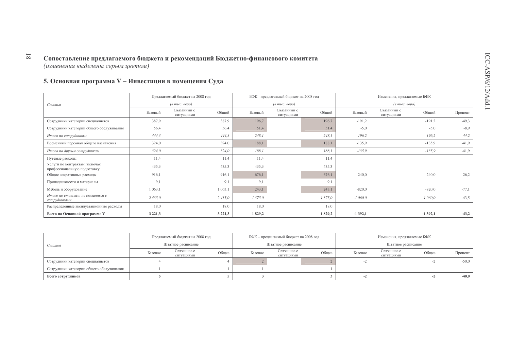5. Основная программа V - Инвестиции в помещения Суда

|                                                              |             | Предлагаемый бюджет на 2008 год   |             |         | БФК - предлагаемый бюджет на 2008 год |        |           | Изменения, предлагаемые БФК       |           |         |
|--------------------------------------------------------------|-------------|-----------------------------------|-------------|---------|---------------------------------------|--------|-----------|-----------------------------------|-----------|---------|
| Статья                                                       |             | $(a \text{ mole.} \text{~e}$ вро) |             |         | $(a \text{ molc.} \text{ espo})$      |        |           | $(a \text{ mole. } e \text{spo})$ |           |         |
|                                                              | Базовый     | Связанный с<br>ситуациями         | Общий       | Базовый | Связанный с<br>ситуациями             | Общий  | Базовый   | Связанный с<br>ситуациями         | Общий     | Процент |
| Сотрудники категории специалистов                            | 387,9       |                                   | 387,9       | 196,7   |                                       | 196,7  | $-191,2$  |                                   | $-191,2$  | $-49,3$ |
| Сотрудники категории общего обслуживания                     | 56,4        |                                   | 56,4        | 51,4    |                                       | 51,4   | $-5,0$    |                                   | $-5,0$    | $-8,9$  |
| Итого по сотрудникам                                         | 444,3       |                                   | 444,3       | 248,1   |                                       | 248,1  | $-196,2$  |                                   | $-196,2$  | $-44,2$ |
| Временный персонал общего назначения                         | 324,0       |                                   | 324,0       | 188,1   |                                       | 188,1  | $-135.9$  |                                   | $-135.9$  | $-41,9$ |
| Итого по другим сотрудникам                                  | 324,0       |                                   | 324,0       | 188,1   |                                       | 188,1  | $-135,9$  |                                   | $-135,9$  | $-41,9$ |
| Путевые расходы                                              | 11,4        |                                   | 11,4        | 11,4    |                                       | 11,4   |           |                                   |           |         |
| Услуги по контрактам, включая<br>профессиональную подготовку | 435,3       |                                   | 435,3       | 435,3   |                                       | 435,3  |           |                                   |           |         |
| Общие оперативные расходы                                    | 916,1       |                                   | 916,1       | 676,1   |                                       | 676.1  | $-240,0$  |                                   | $-240,0$  | $-26,2$ |
| Принадлежности и материалы                                   | 9,1         |                                   | 9,1         | 9,1     |                                       | 9,1    |           |                                   |           |         |
| Мебель и оборудование                                        | 1 0 6 3 , 1 |                                   | 1 0 6 3 , 1 | 243,1   |                                       | 243,1  | $-820,0$  |                                   | $-820,0$  | $-77,1$ |
| Итого по статьям, не связанным с<br>сотрудниками             | 2435,0      |                                   | 2435,0      | 1 375,0 |                                       | 1375,0 | $-1060,0$ |                                   | $-1060,0$ | $-43,5$ |
| Распределенные эксплуатационные расходы                      | 18,0        |                                   | 18,0        | 18,0    |                                       | 18.0   |           |                                   |           |         |
| Всего по Основной программе V                                | 3 2 2 1 , 3 |                                   | 3 2 2 1 , 3 | 1829,2  |                                       | 1829,2 | $-1392,1$ |                                   | $-1392,1$ | $-43,2$ |

|                                          |         | Предлагаемый бюджет на 2008 год |       |         | БФК - предлагаемый бюджет на 2008 год |       | Изменения, предлагаемые БФК |                           |       |         |
|------------------------------------------|---------|---------------------------------|-------|---------|---------------------------------------|-------|-----------------------------|---------------------------|-------|---------|
| Статья                                   |         | Штатное расписание              |       |         | Штатное расписание                    |       |                             | Штатное расписание        |       |         |
|                                          | Базовое | Связанное с<br>ситуациями       | Общее | Базовое | Связанное с<br>ситуациями             | Общее | Базовое                     | Связанное с<br>ситуациями | Общее | Процент |
| Сотрудники категории специалистов        |         |                                 |       |         |                                       |       |                             |                           |       | $-50,0$ |
| Сотрудники категории общего обслуживания |         |                                 |       |         |                                       |       |                             |                           |       |         |
| Всего сотрудников                        |         |                                 |       |         |                                       |       |                             |                           |       | $-40,0$ |

 $\overline{\phantom{0}}8\overline{1}$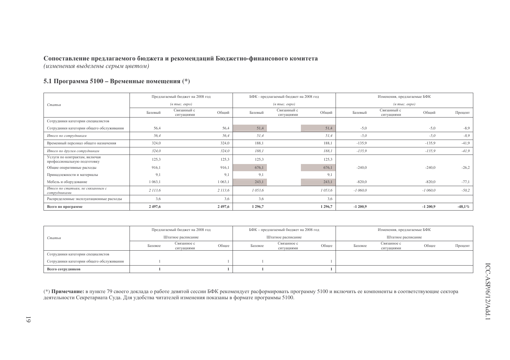#### Сопоставление предлагаемого бюджета и рекомендаций Бюджетно-финансового комитета

(изменения выделены серым иветом)

#### 5.1 Программа 5100 - Временные помещения (\*)

|                                                              |             | Предлагаемый бюджет на 2008 год  |           |           | БФК - предлагаемый бюджет на 2008 год  |           |           | Изменения, предлагаемые БФК       |           |            |
|--------------------------------------------------------------|-------------|----------------------------------|-----------|-----------|----------------------------------------|-----------|-----------|-----------------------------------|-----------|------------|
| Статья                                                       |             | $(a \text{ molc.} \text{ espo})$ |           |           | $(e$ m <sub>bl</sub> $c$ . $e$ e $po)$ |           |           | $(\textit{6 muc.} \textit{espo})$ |           |            |
|                                                              | Базовый     | Связанный с<br>ситуациями        | Общий     | Базовый   | Связанный с<br>ситуациями              | Общий     | Базовый   | Связанный с<br>ситуациями         | Общий     | Процент    |
| Сотрудники категории специалистов                            |             |                                  |           |           |                                        |           |           |                                   |           |            |
| Сотрудники категории общего обслуживания                     | 56,4        |                                  | 56,4      | 51,4      |                                        | 51,4      | $-5,0$    |                                   | $-5,0$    | $-8,9$     |
| Итого по сотрудникам                                         | 56,4        |                                  | 56.4      | 51,4      |                                        | 51.4      | $-5,0$    |                                   | $-5,0$    | $-8,9$     |
| Временный персонал общего назначения                         | 324,0       |                                  | 324,0     | 188,1     |                                        | 188.1     | $-135.9$  |                                   | $-135,9$  | $-41,9$    |
| Итого по другим сотрудникам                                  | 324,0       |                                  | 324,0     | 188,1     |                                        | 188,1     | $-135,9$  |                                   | $-135,9$  | $-41,9$    |
| Услуги по контрактам, включая<br>профессиональную подготовку | 125.3       |                                  | 125,3     | 125,3     |                                        | 125,3     |           |                                   |           |            |
| Общие оперативные расходы                                    | 916,1       |                                  | 916,1     | 676,1     |                                        | 676,1     | $-240,0$  |                                   | $-240,0$  | $-26,2$    |
| Принадлежности и материалы                                   | 9.1         |                                  | 9,1       | 9.1       |                                        | 9.1       |           |                                   |           |            |
| Мебель и оборудование                                        | 1 0 6 3 , 1 |                                  | 1 0 63, 1 | 243,1     |                                        | 243,1     | $-820,0$  |                                   | $-820,0$  | $-77,1$    |
| Итого по статьям, не связанным с<br>сотрудниками             | 2 113,6     |                                  | 2 113,6   | 1 053,6   |                                        | 1 053,6   | $-1060,0$ |                                   | $-1060,0$ | $-50,2$    |
| Распределенные эксплуатационные расходы                      | 3,6         |                                  | 3.6       | 3,6       |                                        | 3,6       |           |                                   |           |            |
| Всего по программе                                           | 2 497,6     |                                  | 2497,6    | 1 2 9 6,7 |                                        | 1 2 9 6,7 | $-1200,9$ |                                   | $-1200,9$ | -48,1 $\%$ |

|                                          |                    | Предлагаемый бюджет на 2008 год |       |         | БФК – предлагаемый бюджет на 2008 год |       | Изменения, предлагаемые БФК |                           |       |         |
|------------------------------------------|--------------------|---------------------------------|-------|---------|---------------------------------------|-------|-----------------------------|---------------------------|-------|---------|
| Статья                                   | Штатное расписание |                                 |       |         | Штатное расписание                    |       |                             | Штатное расписание        |       |         |
|                                          | Базовое            | Связанное с<br>ситуациями       | Общее | Базовое | Связанное с<br>ситуациями             | Обшее | Базовое                     | Связанное с<br>ситуациями | Общее | Процент |
| Сотрудники категории специалистов        |                    |                                 |       |         |                                       |       |                             |                           |       |         |
| Сотрудники категории общего обслуживания |                    |                                 |       |         |                                       |       |                             |                           |       |         |
| Всего сотрудников                        |                    |                                 |       |         |                                       |       |                             |                           |       |         |

(\*) Примечание: в пункте 79 своего доклада о работе девятой сессии БФК рекомендует расформировать программу 5100 и включить ее компоненты в соответствующие сектора деятельности Секретариата Суда. Для удобства читателей изменения показаны в формате программы 5100.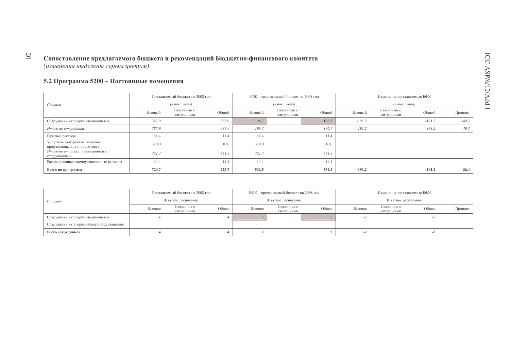#### 5.2 Программа 5200 - Постоянные помещения

|                                                              |                                  | Предлагаемый бюджет на 2008 год |       |                                  | БФК - предлагаемый бюджет на 2008 год |       | Изменения, предлагаемые БФК       |                           |          |         |
|--------------------------------------------------------------|----------------------------------|---------------------------------|-------|----------------------------------|---------------------------------------|-------|-----------------------------------|---------------------------|----------|---------|
| Статья                                                       | $(a \text{ molc.} \text{~espo})$ |                                 |       | $(a \text{ molc.} \text{ espo})$ |                                       |       | $(a \text{ mole. } e \text{spo})$ |                           |          |         |
|                                                              | Базовый                          | Связанный с<br>ситуациями       | Общий | Базовый                          | Связанный с<br>ситуациями             | Общий | Базовый                           | Связанный с<br>ситуациями | Общий    | Процент |
| Сотрудники категории специалистов                            | 387,9                            |                                 | 387.9 | 196.7                            |                                       | 196.7 | $-191,2$                          |                           | $-191,2$ | $-49,3$ |
| Итого по сотрудникам                                         | 387,9                            |                                 | 387.9 | 196.7                            |                                       | 196.7 | $-191,2$                          |                           | $-191,2$ | $-49,3$ |
| Путевые расходы                                              | 11,4                             |                                 | 11.4  | 11,4                             |                                       | 11,4  |                                   |                           |          |         |
| Услуги по контрактам, включая<br>профессиональную подготовку | 310,0                            |                                 | 310.0 | 310,0                            |                                       | 310.0 |                                   |                           |          |         |
| Итого по статьям, не связанным с<br>сотрудниками             | 321,4                            |                                 | 321,4 | 321,4                            |                                       | 321,4 |                                   |                           |          |         |
| Распределенные эксплуатационные расходы                      | 14,4                             |                                 | 14.4  | 14,4                             |                                       | 14,4  |                                   |                           |          |         |
| Всего по программе                                           | 723,7                            |                                 | 723,7 | 532,5                            |                                       | 532,5 | $-191,2$                          |                           | $-191,2$ | $-26,4$ |

|                                          | Предлагаемый бюджет на 2008 год |                           |       | БФК – предлагаемый бюджет на 2008 год |                           |       | Изменения, предлагаемые БФК |                           |       |         |
|------------------------------------------|---------------------------------|---------------------------|-------|---------------------------------------|---------------------------|-------|-----------------------------|---------------------------|-------|---------|
| Статья                                   | Штатное расписание              |                           |       | Штатное расписание                    |                           |       | Штатное расписание          |                           |       |         |
|                                          | Базовое                         | Связанное с<br>ситуациями | Общее | Базовое                               | Связанное с<br>ситуациями | Общее | Базовое                     | Связанное с<br>ситуациями | Общее | Процент |
| Сотрудники категории специалистов        |                                 |                           |       |                                       |                           |       |                             |                           |       |         |
| Сотрудники категории общего обслуживания |                                 |                           |       |                                       |                           |       |                             |                           |       |         |
| Всего сотрудников                        |                                 |                           |       |                                       |                           |       |                             |                           |       |         |